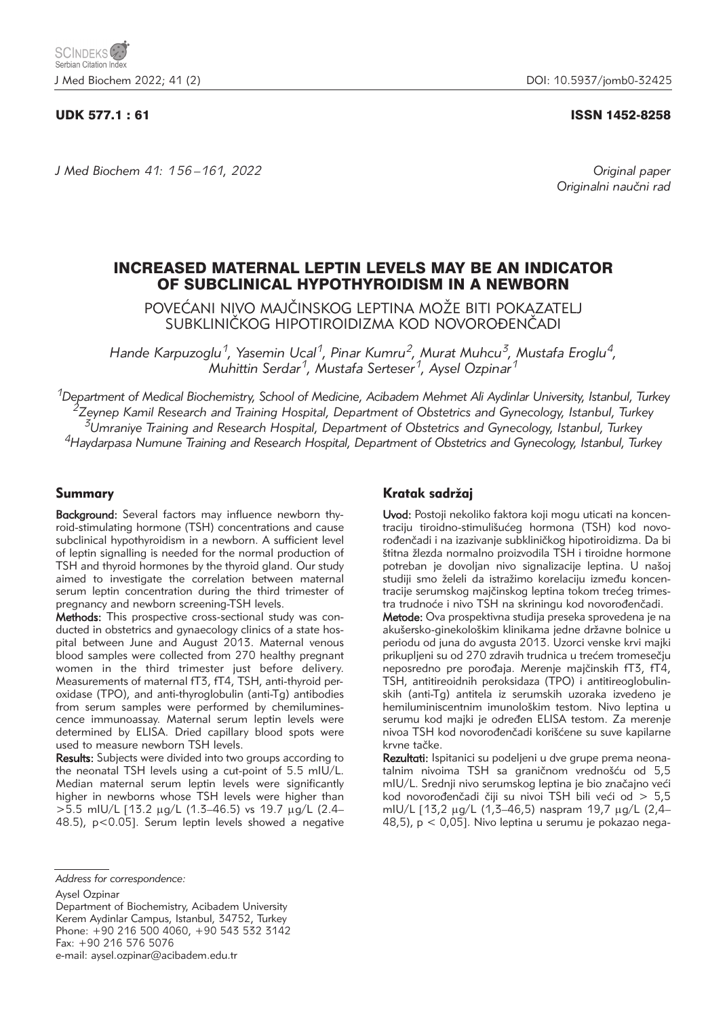## UDK 577.1 : 61 ISSN 1452-8258

*J Med Biochem 41: 156 –161, 2022 Original paper*

Originalni naučni rad

# INCREASED MATERNAL LEPTIN LEVELS MAY BE AN INDICATOR OF SUBCLINICAL HYPOTHYROIDISM IN A NEWBORN

POVEĆANI NIVO MAJČINSKOG LEPTINA MOŽE BITI POKAZATELJ SUBKLINIČKOG HIPOTIROIDIZMA KOD NOVOROĐENČADI

*Hande Karpuzoglu1, Yasemin Ucal1, Pinar Kumru2, Murat Muhcu3, Mustafa Eroglu4, Muhittin Serdar1, Mustafa Serteser1, Aysel Ozpinar1*

*1Department of Medical Biochemistry, School of Medicine, Acibadem Mehmet Ali Aydinlar University, Istanbul, Turkey 2Zeynep Kamil Research and Training Hospital, Department of Obstetrics and Gynecology, Istanbul, Turkey 3Umraniye Training and Research Hospital, Department of Obstetrics and Gynecology, Istanbul, Turkey 4Haydarpasa Numune Training and Research Hospital, Department of Obstetrics and Gynecology, Istanbul, Turkey*

## Summary

Background: Several factors may influence newborn thyroid-stimulating hormone (TSH) concentrations and cause subclinical hypothyroidism in a newborn. A sufficient level of leptin signalling is needed for the normal production of TSH and thyroid hormones by the thyroid gland. Our study aimed to investigate the correlation between maternal serum leptin concentration during the third trimester of pregnancy and newborn screening-TSH levels.

Methods: This prospective cross-sectional study was conducted in obstetrics and gynaecology clinics of a state hospital between June and August 2013. Maternal venous blood samples were collected from 270 healthy pregnant women in the third trimester just before delivery. Measurements of maternal fT3, fT4, TSH, anti-thyroid peroxidase (TPO), and anti-thyroglobulin (anti-Tg) antibodies from serum samples were performed by chemiluminescence immunoassay. Maternal serum leptin levels were determined by ELISA. Dried capillary blood spots were used to measure newborn TSH levels.

Results: Subjects were divided into two groups according to the neonatal TSH levels using a cut-point of 5.5 mIU/L. Median maternal serum leptin levels were significantly higher in newborns whose TSH levels were higher than  $>5.5$  mIU/L [13.2 µg/L (1.3–46.5) vs 19.7 µg/L (2.4– 48.5), p<0.05]. Serum leptin levels showed a negative

## Kratak sadržaj

Uvod: Postoji nekoliko faktora koji mogu uticati na koncentraciju tiroidno-stimulišućeg hormona (TSH) kod novorođenčadi i na izazivanje subkliničkog hipotiroidizma. Da bi štitna žlezda normalno proizvodila TSH i tiroidne hormone potreban je dovoljan nivo signalizacije leptina. U našoj studiji smo želeli da istražimo korelaciju između koncentracije serumskog majčinskog leptina tokom trećeg trimestra trudnoće i nivo TSH na skriningu kod novorođenčadi.

Metode: Ova prospektivna studija preseka sprovedena je na akušersko-ginekološkim klinikama jedne državne bolnice u periodu od juna do avgusta 2013. Uzorci venske krvi majki prikupljeni su od 270 zdravih trudnica u trećem tromesečju neposredno pre porođaja. Merenje majčinskih fT3, fT4, TSH, antitireoidnih peroksidaza (TPO) i antitireoglobulinskih (anti-Tg) antitela iz serumskih uzoraka izvedeno je hemiluminiscentnim imunološkim testom. Nivo leptina u serumu kod majki je određen ELISA testom. Za merenje nivoa TSH kod novorođenčadi korišćene su suve kapilarne krvne tačke.

Rezultati: Ispitanici su podeljeni u dve grupe prema neonatalnim nivoima TSH sa graničnom vrednošću od 5,5 mIU/L. Srednji nivo serumskog leptina je bio značajno veći kod novorođenčadi čiji su nivoi TSH bili veći od  $> 5.5$ mIU/L [13,2 µg/L (1,3-46,5) naspram 19,7 µg/L (2,4-48,5), p < 0,05]. Nivo leptina u serumu je pokazao nega-

Aysel Ozpinar

Department of Biochemistry, Acibadem University Kerem Aydinlar Campus, Istanbul, 34752, Turkey Phone: +90 216 500 4060, +90 543 532 3142 Fax: +90 216 576 5076

e-mail: aysel.ozpinar@acibadem.edu.tr

*Address for correspondence:*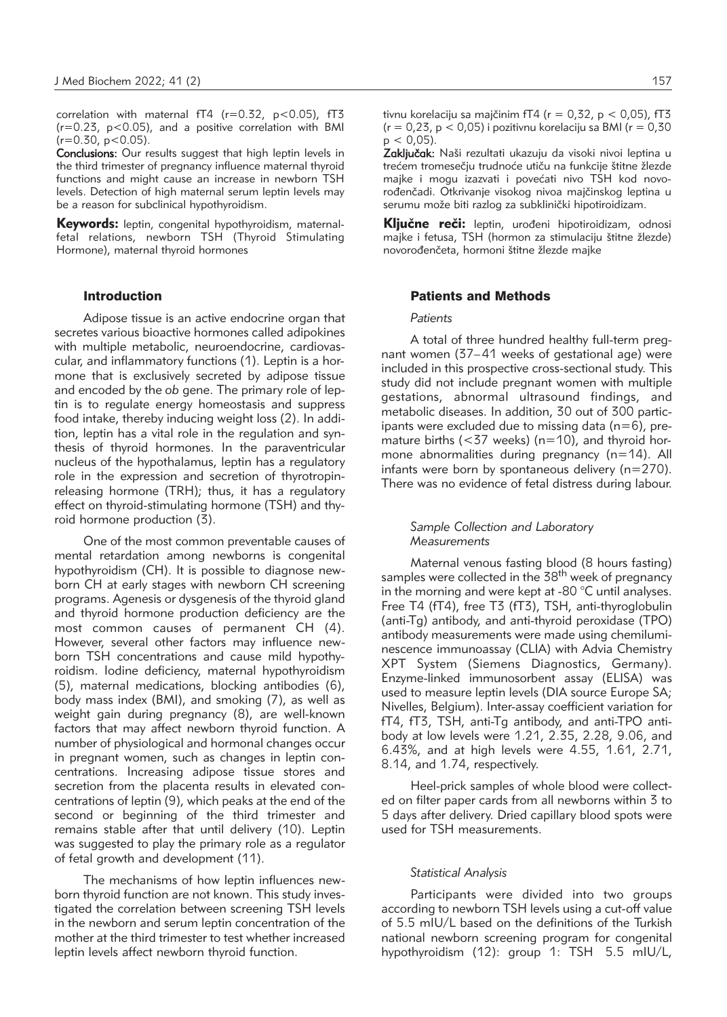correlation with maternal  $fT4$  ( $r=0.32$ ,  $p<0.05$ ),  $fT3$  $(r=0.23, p<0.05)$ , and a positive correlation with BMI  $(r=0.30, p<0.05)$ .

Conclusions: Our results suggest that high leptin levels in the third trimester of pregnancy influence maternal thyroid functions and might cause an increase in newborn TSH levels. Detection of high maternal serum leptin levels may be a reason for subclinical hypothyroidism.

Keywords: leptin, congenital hypothyroidism, maternalfetal relations, newborn TSH (Thyroid Stimulating Hormone), maternal thyroid hormones

## Introduction

Adipose tissue is an active endocrine organ that secretes various bioactive hormones called adipokines with multiple metabolic, neuroendocrine, cardiovascular, and inflammatory functions (1). Leptin is a hormone that is exclusively secreted by adipose tissue and encoded by the *ob* gene. The primary role of leptin is to regulate energy homeostasis and suppress food intake, thereby inducing weight loss (2). In addition, leptin has a vital role in the regulation and synthesis of thyroid hormones. In the paraventricular nucleus of the hypothalamus, leptin has a regulatory role in the expression and secretion of thyrotropinreleasing hormone (TRH); thus, it has a regulatory effect on thyroid-stimulating hormone (TSH) and thyroid hormone production (3).

One of the most common preventable causes of mental retardation among newborns is congenital hypothyroidism (CH). It is possible to diagnose newborn CH at early stages with newborn CH screening programs. Agenesis or dysgenesis of the thyroid gland and thyroid hormone production deficiency are the most common causes of permanent CH (4). However, several other factors may influence newborn TSH concentrations and cause mild hypothyroidism. Iodine deficiency, maternal hypothyroidism (5), maternal medications, blocking antibodies (6), body mass index (BMI), and smoking (7), as well as weight gain during pregnancy (8), are well-known factors that may affect newborn thyroid function. A number of physiological and hormonal changes occur in pregnant women, such as changes in leptin concentrations. Increasing adipose tissue stores and secretion from the placenta results in elevated concentrations of leptin (9), which peaks at the end of the second or beginning of the third trimester and remains stable after that until delivery (10). Leptin was suggested to play the primary role as a regulator of fetal growth and development (11).

The mechanisms of how leptin influences newborn thyroid function are not known. This study investigated the correlation between screening TSH levels in the newborn and serum leptin concentration of the mother at the third trimester to test whether increased leptin levels affect newborn thyroid function.

tivnu korelaciju sa majčinim fT4 ( $r = 0.32$ ,  $p < 0.05$ ), fT3  $(r = 0.23, p < 0.05)$  i pozitivnu korelaciju sa BMI ( $r = 0.30$  $p < 0.05$ ).

Zaključak: Naši rezultati ukazuju da visoki nivoi leptina u trećem tromesečju trudnoće utiču na funkcije štitne žlezde majke i mogu izazvati i povećati nivo TSH kod novorođenčadi. Otkrivanje visokog nivoa majčinskog leptina u serumu može biti razlog za subklinički hipotiroidizam.

Ključne reči: leptin, urođeni hipotiroidizam, odnosi majke i fetusa, TSH (hormon za stimulaciju štitne žlezde) novorođenčeta, hormoni štitne žlezde majke

## Patients and Methods

### *Patients*

A total of three hundred healthy full-term pregnant women (37–41 weeks of gestational age) were included in this prospective cross-sectional study. This study did not include pregnant women with multiple gestations, abnormal ultrasound findings, and metabolic diseases. In addition, 30 out of 300 participants were excluded due to missing data  $(n=6)$ , premature births ( $<$ 37 weeks) (n=10), and thyroid hormone abnormalities during pregnancy (n=14). All infants were born by spontaneous delivery (n=270). There was no evidence of fetal distress during labour.

## *Sample Collection and Laboratory Measurements*

Maternal venous fasting blood (8 hours fasting) samples were collected in the 38<sup>th</sup> week of pregnancy in the morning and were kept at -80 °C until analyses. Free T4 (fT4), free T3 (fT3), TSH, anti-thyroglobulin (anti-Tg) antibody, and anti-thyroid peroxidase (TPO) antibody measurements were made using chemiluminescence immunoassay (CLIA) with Advia Chemistry XPT System (Siemens Diagnostics, Germany). Enzyme-linked immunosorbent assay (ELISA) was used to measure leptin levels (DIA source Europe SA; Nivelles, Belgium). Inter-assay coefficient variation for fT4, fT3, TSH, anti-Tg antibody, and anti-TPO antibody at low levels were 1.21, 2.35, 2.28, 9.06, and 6.43%, and at high levels were 4.55, 1.61, 2.71, 8.14, and 1.74, respectively.

Heel-prick samples of whole blood were collected on filter paper cards from all newborns within 3 to 5 days after delivery. Dried capillary blood spots were used for TSH measurements.

## *Statistical Analysis*

Participants were divided into two groups according to newborn TSH levels using a cut-off value of 5.5 mIU/L based on the definitions of the Turkish national newborn screening program for congenital hypothyroidism (12): group 1: TSH 5.5 mIU/L,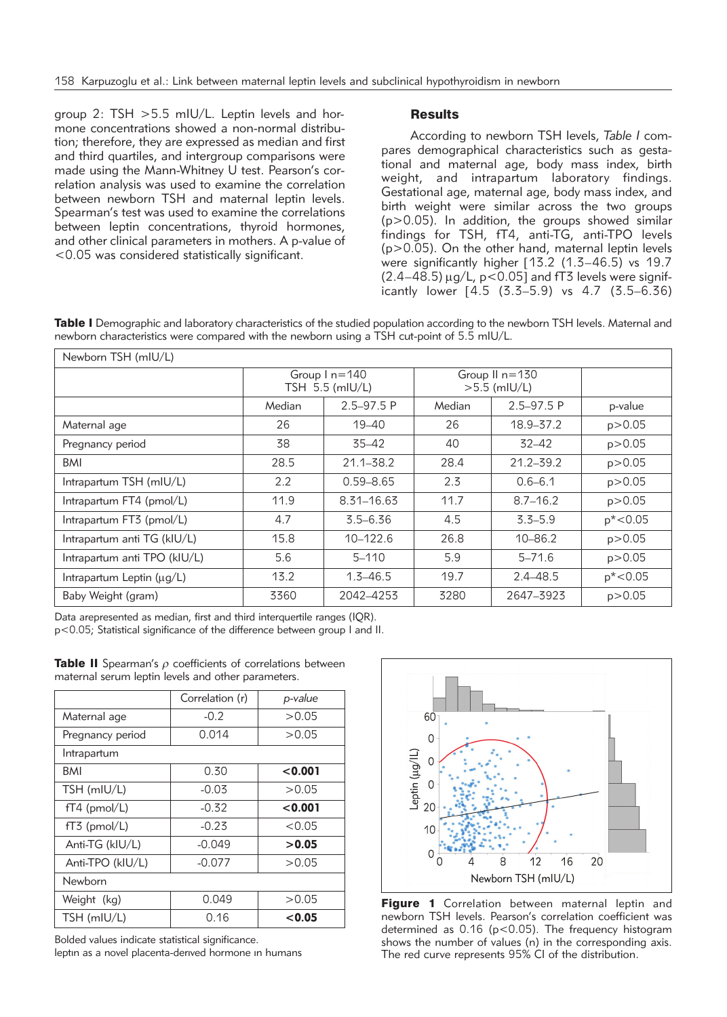group 2: TSH >5.5 mIU/L. Leptin levels and hormone concentrations showed a non-normal distribution; therefore, they are expressed as median and first and third quartiles, and intergroup comparisons were made using the Mann-Whitney U test. Pearson's correlation analysis was used to examine the correlation between newborn TSH and maternal leptin levels. Spearman's test was used to examine the correlations between leptin concentrations, thyroid hormones, and other clinical parameters in mothers. A p-value of <0.05 was considered statistically significant.

## Results

According to newborn TSH levels, *Table I* compares demographical characteristics such as gestational and maternal age, body mass index, birth weight, and intrapartum laboratory findings. Gestational age, maternal age, body mass index, and birth weight were similar across the two groups (p>0.05). In addition, the groups showed similar findings for TSH, fT4, anti-TG, anti-TPO levels (p>0.05). On the other hand, maternal leptin levels were significantly higher [13.2 (1.3–46.5) vs 19.7  $(2.4-48.5) \mu q/L$ , p<0.05] and fT3 levels were significantly lower [4.5 (3.3–5.9) vs 4.7 (3.5–6.36)

Table I Demographic and laboratory characteristics of the studied population according to the newborn TSH levels. Maternal and newborn characteristics were compared with the newborn using a TSH cut-point of 5.5 mIU/L.

| Newborn TSH (mIU/L)          |                                      |                |                                  |                |             |  |
|------------------------------|--------------------------------------|----------------|----------------------------------|----------------|-------------|--|
|                              | Group $1 n = 140$<br>TSH 5.5 (mIU/L) |                | Group II n=130<br>$>5.5$ (mIU/L) |                |             |  |
|                              | Median                               | $2.5 - 97.5 P$ | Median                           | $2.5 - 97.5 P$ | p-value     |  |
| Maternal age                 | 26                                   | $19 - 40$      | 26                               | $18.9 - 37.2$  | p > 0.05    |  |
| Pregnancy period             | 38                                   | $35 - 42$      | 40                               | $32 - 42$      | p > 0.05    |  |
| BMI                          | 28.5                                 | $21.1 - 38.2$  | 28.4                             | $21.2 - 39.2$  | p > 0.05    |  |
| Intrapartum TSH (mIU/L)      | 2.2                                  | $0.59 - 8.65$  | 2.3                              | $0.6 - 6.1$    | p > 0.05    |  |
| Intrapartum FT4 (pmol/L)     | 11.9                                 | 8.31-16.63     | 11.7                             | $8.7 - 16.2$   | p > 0.05    |  |
| Intrapartum FT3 (pmol/L)     | 4.7                                  | $3.5 - 6.36$   | 4.5                              | $3.3 - 5.9$    | $p* < 0.05$ |  |
| Intrapartum anti TG (kIU/L)  | 15.8                                 | $10 - 122.6$   | 26.8                             | $10 - 86.2$    | p > 0.05    |  |
| Intrapartum anti TPO (kIU/L) | 5.6                                  | $5 - 110$      | 5.9                              | $5 - 71.6$     | p > 0.05    |  |
| Intrapartum Leptin (µg/L)    | 13.2                                 | $1.3 - 46.5$   | 19.7                             | $2.4 - 48.5$   | $p* < 0.05$ |  |
| Baby Weight (gram)           | 3360                                 | 2042-4253      | 3280                             | 2647-3923      | p > 0.05    |  |

Data arepresented as median, first and third interquertile ranges (IQR).

p<0.05; Statistical significance of the difference between group I and II.

|                  | Correlation (r) | p-value |  |  |  |  |
|------------------|-----------------|---------|--|--|--|--|
| Maternal age     | $-0.2$          | >0.05   |  |  |  |  |
| Pregnancy period | 0.014           | >0.05   |  |  |  |  |
| Intrapartum      |                 |         |  |  |  |  |
| BMI              | 0.30            | < 0.001 |  |  |  |  |
| TSH (mIU/L)      | $-0.03$         | >0.05   |  |  |  |  |
| $fT4$ (pmol/L)   | $-0.32$         | < 0.001 |  |  |  |  |
| $fT3$ (pmol/L)   | $-0.23$         | < 0.05  |  |  |  |  |
| Anti-TG (kIU/L)  | $-0.049$        | >0.05   |  |  |  |  |
| Anti-TPO (kIU/L) | $-0.077$        | >0.05   |  |  |  |  |
| Newborn          |                 |         |  |  |  |  |
| Weight (kg)      | 0.049           | >0.05   |  |  |  |  |
| TSH (mIU/L)      | 0.16            | < 0.05  |  |  |  |  |

**Table II** Spearman's  $\rho$  coefficients of correlations between maternal serum leptin levels and other parameters.

Bolded values indicate statistical significance.

leptın as a novel placenta-derıved hormone ın humans



Figure 1 Correlation between maternal leptin and newborn TSH levels. Pearson's correlation coefficient was determined as 0.16 (p<0.05). The frequency histogram shows the number of values (n) in the corresponding axis. The red curve represents 95% CI of the distribution.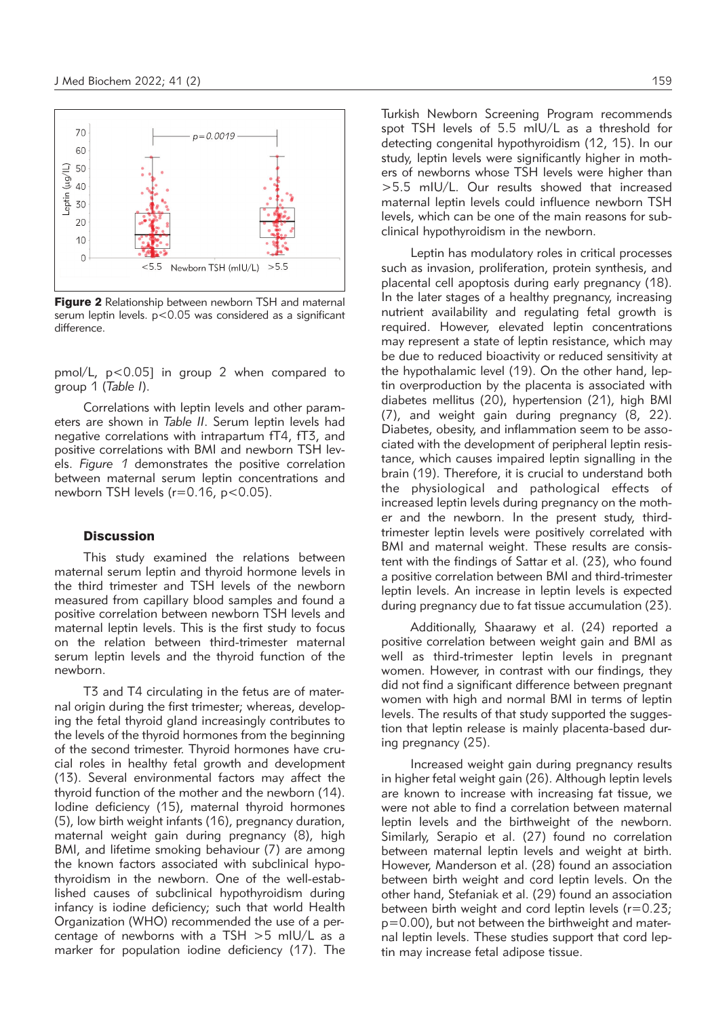

Figure 2 Relationship between newborn TSH and maternal serum leptin levels. p<0.05 was considered as a significant difference.

pmol/L,  $p < 0.05$ ] in group 2 when compared to group 1 (*Table I*).

Correlations with leptin levels and other parameters are shown in *Table II*. Serum leptin levels had negative correlations with intrapartum fT4, fT3, and positive correlations with BMI and newborn TSH levels. *Figure 1* demonstrates the positive correlation between maternal serum leptin concentrations and newborn TSH levels ( $r=0.16$ ,  $p<0.05$ ).

## **Discussion**

This study examined the relations between maternal serum leptin and thyroid hormone levels in the third trimester and TSH levels of the newborn measured from capillary blood samples and found a positive correlation between newborn TSH levels and maternal leptin levels. This is the first study to focus on the relation between third-trimester maternal serum leptin levels and the thyroid function of the newborn.

T3 and T4 circulating in the fetus are of maternal origin during the first trimester; whereas, developing the fetal thyroid gland increasingly contributes to the levels of the thyroid hormones from the beginning of the second trimester. Thyroid hormones have crucial roles in healthy fetal growth and development (13). Several environmental factors may affect the thyroid function of the mother and the newborn (14). Iodine deficiency (15), maternal thyroid hormones (5), low birth weight infants (16), pregnancy duration, maternal weight gain during pregnancy (8), high BMI, and lifetime smoking behaviour (7) are among the known factors associated with subclinical hypothyroidism in the newborn. One of the well-established causes of subclinical hypothyroidism during infancy is iodine deficiency; such that world Health Organization (WHO) recommended the use of a percentage of newborns with a TSH >5 mIU/L as a marker for population iodine deficiency (17). The Turkish Newborn Screening Program recommends spot TSH levels of 5.5 mIU/L as a threshold for detecting congenital hypothyroidism (12, 15). In our study, leptin levels were significantly higher in mothers of newborns whose TSH levels were higher than >5.5 mIU/L. Our results showed that increased maternal leptin levels could influence newborn TSH levels, which can be one of the main reasons for subclinical hypothyroidism in the newborn.

Leptin has modulatory roles in critical processes such as invasion, proliferation, protein synthesis, and placental cell apoptosis during early pregnancy (18). In the later stages of a healthy pregnancy, increasing nutrient availability and regulating fetal growth is required. However, elevated leptin concentrations may represent a state of leptin resistance, which may be due to reduced bioactivity or reduced sensitivity at the hypothalamic level (19). On the other hand, leptin overproduction by the placenta is associated with diabetes mellitus (20), hypertension (21), high BMI (7), and weight gain during pregnancy (8, 22). Diabetes, obesity, and inflammation seem to be associated with the development of peripheral leptin resistance, which causes impaired leptin signalling in the brain (19). Therefore, it is crucial to understand both the physiological and pathological effects of increased leptin levels during pregnancy on the mother and the newborn. In the present study, thirdtrimester leptin levels were positively correlated with BMI and maternal weight. These results are consistent with the findings of Sattar et al. (23), who found a positive correlation between BMI and third-trimester leptin levels. An increase in leptin levels is expected during pregnancy due to fat tissue accumulation (23).

Additionally, Shaarawy et al. (24) reported a positive correlation between weight gain and BMI as well as third-trimester leptin levels in pregnant women. However, in contrast with our findings, they did not find a significant difference between pregnant women with high and normal BMI in terms of leptin levels. The results of that study supported the suggestion that leptin release is mainly placenta-based during pregnancy (25).

Increased weight gain during pregnancy results in higher fetal weight gain (26). Although leptin levels are known to increase with increasing fat tissue, we were not able to find a correlation between maternal leptin levels and the birthweight of the newborn. Similarly, Serapio et al. (27) found no correlation between maternal leptin levels and weight at birth. However, Manderson et al. (28) found an association between birth weight and cord leptin levels. On the other hand, Stefaniak et al. (29) found an association between birth weight and cord leptin levels ( $r=0.23$ ; p=0.00), but not between the birthweight and maternal leptin levels. These studies support that cord leptin may increase fetal adipose tissue.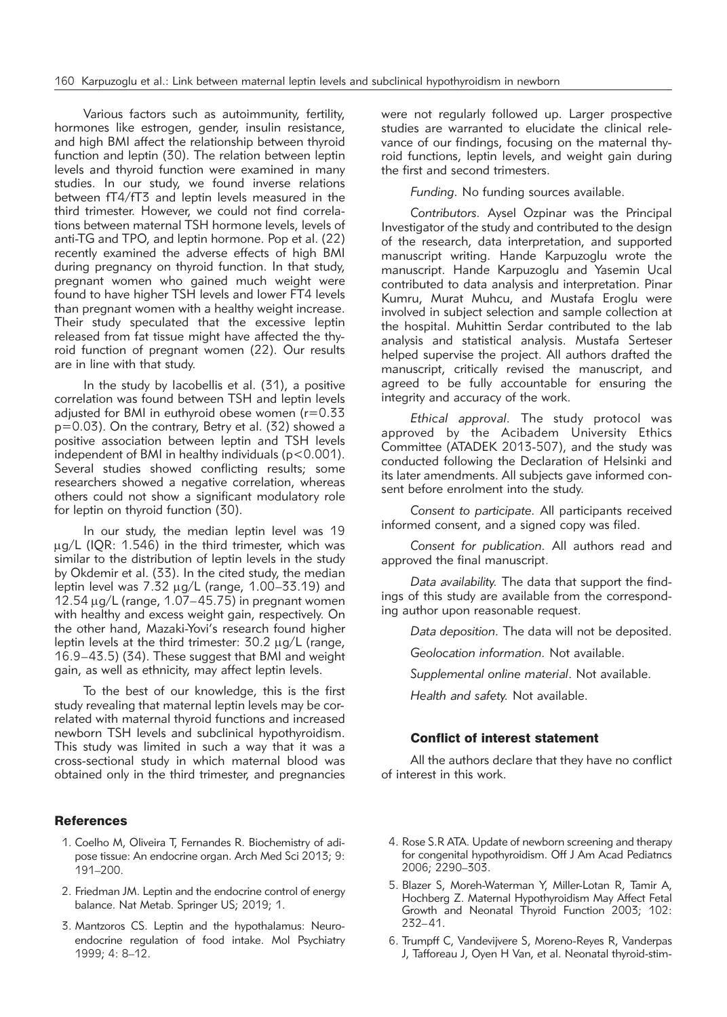Various factors such as autoimmunity, fertility, hormones like estrogen, gender, insulin resistance, and high BMI affect the relationship between thyroid function and leptin (30). The relation between leptin levels and thyroid function were examined in many studies. In our study, we found inverse relations between fT4/fT3 and leptin levels measured in the third trimester. However, we could not find correlations between maternal TSH hormone levels, levels of anti-TG and TPO, and leptin hormone. Pop et al. (22) recently examined the adverse effects of high BMI during pregnancy on thyroid function. In that study, pregnant women who gained much weight were found to have higher TSH levels and lower FT4 levels than pregnant women with a healthy weight increase. Their study speculated that the excessive leptin released from fat tissue might have affected the thyroid function of pregnant women (22). Our results are in line with that study.

In the study by Iacobellis et al. (31), a positive correlation was found between TSH and leptin levels adjusted for BMI in euthyroid obese women (r=0.33 p=0.03). On the contrary, Betry et al. (32) showed a positive association between leptin and TSH levels independent of BMI in healthy individuals ( $p < 0.001$ ). Several studies showed conflicting results; some researchers showed a negative correlation, whereas others could not show a significant modulatory role for leptin on thyroid function (30).

In our study, the median leptin level was 19  $\mu$ g/L (IQR: 1.546) in the third trimester, which was similar to the distribution of leptin levels in the study by Okdemir et al. (33). In the cited study, the median leptin level was  $7.32 \mu q/L$  (range,  $1.00-33.19$ ) and 12.54  $\mu$ g/L (range, 1.07–45.75) in pregnant women with healthy and excess weight gain, respectively. On the other hand, Mazaki-Yovi's research found higher leptin levels at the third trimester:  $30.2 \mu g/L$  (range, 16.9–43.5) (34). These suggest that BMI and weight gain, as well as ethnicity, may affect leptin levels.

To the best of our knowledge, this is the first study revealing that maternal leptin levels may be correlated with maternal thyroid functions and increased newborn TSH levels and subclinical hypothyroidism. This study was limited in such a way that it was a cross-sectional study in which maternal blood was obtained only in the third trimester, and pregnancies

## **References**

- 1. Coelho M, Oliveira T, Fernandes R. Biochemistry of adipose tissue: An endocrine organ. Arch Med Sci 2013; 9: 191–200.
- 2. Friedman JM. Leptin and the endocrine control of energy balance. Nat Metab. Springer US; 2019; 1.
- 3. Mantzoros CS. Leptin and the hypothalamus: Neuroendocrine regulation of food intake. Mol Psychiatry 1999; 4: 8–12.

were not regularly followed up. Larger prospective studies are warranted to elucidate the clinical relevance of our findings, focusing on the maternal thyroid functions, leptin levels, and weight gain during the first and second trimesters.

*Funding.* No funding sources available.

*Contributors.* Aysel Ozpinar was the Principal Investigator of the study and contributed to the design of the research, data interpretation, and supported manuscript writing. Hande Karpuzoglu wrote the manuscript. Hande Karpuzoglu and Yasemin Ucal contributed to data analysis and interpretation. Pinar Kumru, Murat Muhcu, and Mustafa Eroglu were involved in subject selection and sample collection at the hospital. Muhittin Serdar contributed to the lab analysis and statistical analysis. Mustafa Serteser helped supervise the project. All authors drafted the manuscript, critically revised the manuscript, and agreed to be fully accountable for ensuring the integrity and accuracy of the work.

*Ethical approval.* The study protocol was approved by the Acibadem University Ethics Committee (ATADEK 2013-507), and the study was conducted following the Declaration of Helsinki and its later amendments. All subjects gave informed consent before enrolment into the study.

*Consent to participate.* All participants received informed consent, and a signed copy was filed.

*Consent for publication.* All authors read and approved the final manuscript.

*Data availability.* The data that support the findings of this study are available from the corresponding author upon reasonable request.

*Data deposition.* The data will not be deposited.

*Geolocation information.* Not available.

*Supplemental online material*. Not available.

*Health and safety.* Not available.

## Conflict of interest statement

All the authors declare that they have no conflict of interest in this work.

- 4. Rose S.R ATA. Update of newborn screening and therapy for congenital hypothyroidism. Off J Am Acad Pediatrıcs 2006; 2290–303.
- 5. Blazer S, Moreh-Waterman Y, Miller-Lotan R, Tamir A, Hochberg Z. Maternal Hypothyroidism May Affect Fetal Growth and Neonatal Thyroid Function 2003; 102: 232–41.
- 6. Trumpff C, Vandevijvere S, Moreno-Reyes R, Vanderpas J, Tafforeau J, Oyen H Van, et al. Neonatal thyroid-stim-